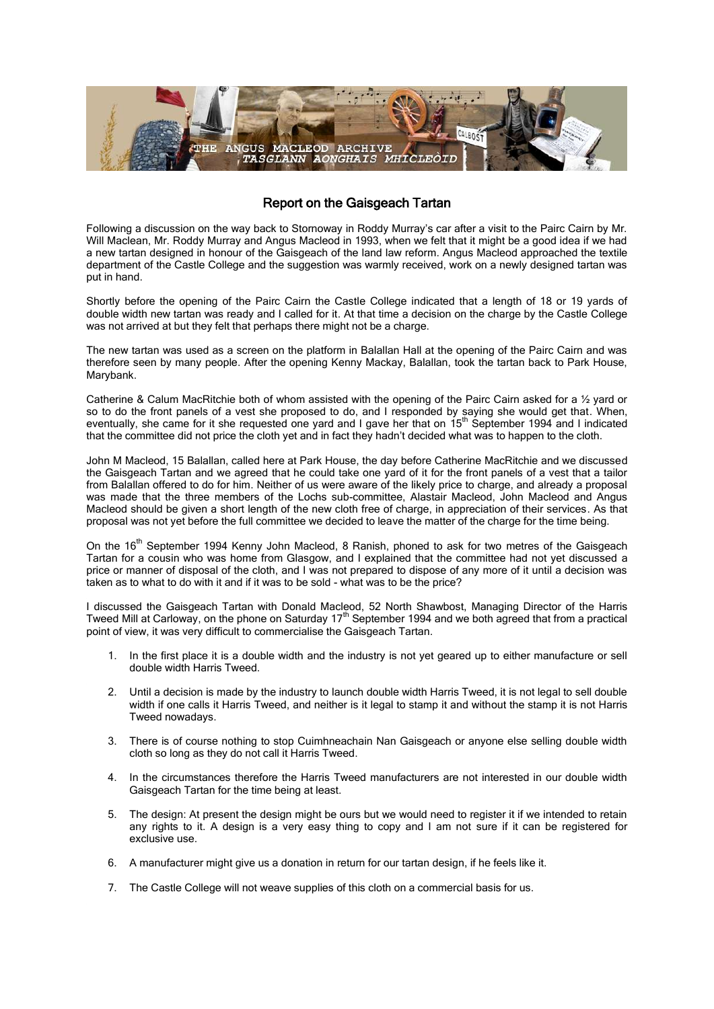

## Report on the Gaisgeach Tartan

Following a discussion on the way back to Stornoway in Roddy Murray's car after a visit to the Pairc Cairn by Mr. Will Maclean, Mr. Roddy Murray and Angus Macleod in 1993, when we felt that it might be a good idea if we had a new tartan designed in honour of the Gaisgeach of the land law reform. Angus Macleod approached the textile department of the Castle College and the suggestion was warmly received, work on a newly designed tartan was put in hand.

Shortly before the opening of the Pairc Cairn the Castle College indicated that a length of 18 or 19 yards of double width new tartan was ready and I called for it. At that time a decision on the charge by the Castle College was not arrived at but they felt that perhaps there might not be a charge.

The new tartan was used as a screen on the platform in Balallan Hall at the opening of the Pairc Cairn and was therefore seen by many people. After the opening Kenny Mackay, Balallan, took the tartan back to Park House, Marybank.

Catherine & Calum MacRitchie both of whom assisted with the opening of the Pairc Cairn asked for a ½ yard or so to do the front panels of a vest she proposed to do, and I responded by saying she would get that. When, eventually, she came for it she requested one yard and I gave her that on 15<sup>th</sup> September 1994 and I indicated that the committee did not price the cloth yet and in fact they hadn't decided what was to happen to the cloth.

John M Macleod, 15 Balallan, called here at Park House, the day before Catherine MacRitchie and we discussed the Gaisgeach Tartan and we agreed that he could take one yard of it for the front panels of a vest that a tailor from Balallan offered to do for him. Neither of us were aware of the likely price to charge, and already a proposal was made that the three members of the Lochs sub-committee, Alastair Macleod, John Macleod and Angus Macleod should be given a short length of the new cloth free of charge, in appreciation of their services. As that proposal was not yet before the full committee we decided to leave the matter of the charge for the time being.

On the 16<sup>th</sup> September 1994 Kenny John Macleod, 8 Ranish, phoned to ask for two metres of the Gaisgeach Tartan for a cousin who was home from Glasgow, and I explained that the committee had not yet discussed a price or manner of disposal of the cloth, and I was not prepared to dispose of any more of it until a decision was taken as to what to do with it and if it was to be sold - what was to be the price?

I discussed the Gaisgeach Tartan with Donald Macleod, 52 North Shawbost, Managing Director of the Harris Tweed Mill at Carloway, on the phone on Saturday  $17<sup>th</sup>$  September 1994 and we both agreed that from a practical point of view, it was very difficult to commercialise the Gaisgeach Tartan.

- 1. In the first place it is a double width and the industry is not yet geared up to either manufacture or sell double width Harris Tweed.
- 2. Until a decision is made by the industry to launch double width Harris Tweed, it is not legal to sell double width if one calls it Harris Tweed, and neither is it legal to stamp it and without the stamp it is not Harris Tweed nowadays.
- 3. There is of course nothing to stop Cuimhneachain Nan Gaisgeach or anyone else selling double width cloth so long as they do not call it Harris Tweed.
- 4. In the circumstances therefore the Harris Tweed manufacturers are not interested in our double width Gaisgeach Tartan for the time being at least.
- 5. The design: At present the design might be ours but we would need to register it if we intended to retain any rights to it. A design is a very easy thing to copy and I am not sure if it can be registered for exclusive use.
- 6. A manufacturer might give us a donation in return for our tartan design, if he feels like it.
- 7. The Castle College will not weave supplies of this cloth on a commercial basis for us.